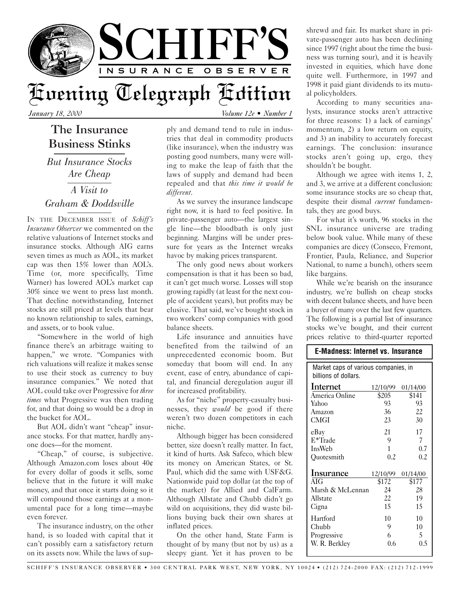

*January 18, 2000 Volume 12e • Number 1*

## The Insurance Business Stinks

*But Insurance Stocks Are Cheap A Visit to Graham & Doddsville*

IN THE DECEMBER ISSUE of *Schiff's Insurance Observer* we commented on the relative valuations of Internet stocks and insurance stocks. Although AIG earns seven times as much as AOL, its market cap was then 15% lower than AOL's. Time (or, more specifically, Time Warner) has lowered AOL's market cap 30% since we went to press last month. That decline notwithstanding, Internet stocks are still priced at levels that bear no known relationship to sales, earnings, and assets, or to book value.

"Somewhere in the world of high finance there's an arbitrage waiting to happen," we wrote. "Companies with rich valuations will realize it makes sense to use their stock as currency to buy insurance companies." We noted that AOL could take over Progressive for *three times* what Progressive was then trading for, and that doing so would be a drop in the bucket for AOL.

But AOL didn't want "cheap" insurance stocks. For that matter, hardly anyone does—for the moment.

"Cheap," of course, is subjective. Although Amazon.com loses about 40¢ for every dollar of goods it sells, some believe that in the future it will make money, and that once it starts doing so it will compound those earnings at a monumental pace for a long time—maybe even forever.

The insurance industry, on the other hand, is so loaded with capital that it can't possibly earn a satisfactory return on its assets now. While the laws of sup-

ply and demand tend to rule in industries that deal in commodity products (like insurance), when the industry was posting good numbers, many were willing to make the leap of faith that the laws of supply and demand had been repealed and that *this time it would be different*.

As we survey the insurance landscape right now, it is hard to feel positive. In private-passenger auto—the largest single line—the bloodbath is only just beginning. Margins will be under pressure for years as the Internet wreaks havoc by making prices transparent.

The only good news about workers compensation is that it has been so bad, it can't get much worse. Losses will stop growing rapidly (at least for the next couple of accident years), but profits may be elusive. That said, we've bought stock in two workers' comp companies with good balance sheets.

Life insurance and annuities have benefited from the tailwind of an unprecedented economic boom. But someday that boom will end. In any event, ease of entry, abundance of capital, and financial deregulation augur ill for increased profitability.

As for "niche" property-casualty businesses, they *would* be good if there weren't two dozen competitors in each niche.

Although bigger has been considered better, size doesn't really matter. In fact, it kind of hurts. Ask Safeco, which blew its money on American States, or St. Paul, which did the same with USF&G. Nationwide paid top dollar (at the top of the market) for Allied and CalFarm. Although Allstate and Chubb didn't go wild on acquisitions, they did waste billions buying back their own shares at inflated prices.

On the other hand, State Farm is thought of by many (but not by us) as a sleepy giant. Yet it has proven to be

shrewd and fair. Its market share in private-passenger auto has been declining since 1997 (right about the time the business was turning sour), and it is heavily invested in equities, which have done quite well. Furthermore, in 1997 and 1998 it paid giant dividends to its mutual policyholders.

According to many securities analysts, insurance stocks aren't attractive for three reasons: 1) a lack of earnings' momentum, 2) a low return on equity, and 3) an inability to accurately forecast earnings. The conclusion: insurance stocks aren't going up, ergo, they shouldn't be bought.

Although we agree with items 1, 2, and 3, we arrive at a different conclusion: some insurance stocks are so cheap that, despite their dismal *current* fundamentals, they are good buys.

For what it's worth, 96 stocks in the SNL insurance universe are trading below book value. While many of these companies are dicey (Conseco, Fremont, Frontier, Paula, Reliance, and Superior National, to name a bunch), others seem like bargains.

While we're bearish on the insurance industry, we're bullish on cheap stocks with decent balance sheets, and have been a buyer of many over the last few quarters. The following is a partial list of insurance stocks we've bought, and their current prices relative to third-quarter reported

## **E-Madness: Internet vs. Insurance**

| Market caps of various companies, in<br>billions of dollars. |          |          |  |
|--------------------------------------------------------------|----------|----------|--|
|                                                              |          |          |  |
| Internet                                                     | 12/10/99 | 01/14/00 |  |
| America Online                                               | \$205    | \$141    |  |
| Yahoo                                                        | 93       | 93       |  |
| Amazon                                                       | 36       | 22       |  |
| CMGI                                                         | 23       | 30       |  |
| eBay                                                         | 21       | 17       |  |
| E*Trade                                                      | 9        | 7        |  |
| InsWeb                                                       | 1        | 0.7      |  |
| Quotesmith                                                   | 0.2      | 0.2      |  |
| <b>Insurance</b>                                             | 12/10/99 | 01/14/00 |  |
| AIG                                                          | \$172    | \$177    |  |
| Marsh & McLennan                                             | 24       | 28       |  |
| Allstate                                                     | 22       | 19       |  |
| Cigna                                                        | 15       | 15       |  |
| Hartford                                                     | 10       | 10       |  |
| Chubb                                                        | 9        | 10       |  |
| Progressive                                                  | 6        | 5        |  |
| W. R. Berkley                                                | 0.6      | 0.5      |  |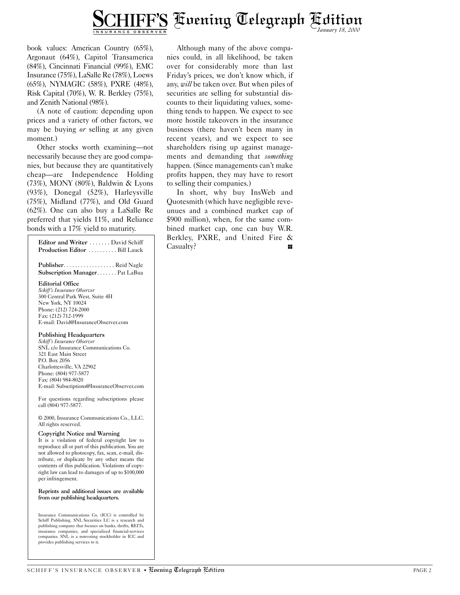

book values: American Country (65%), Argonaut (64%), Capitol Transamerica (84%), Cincinnati Financial (99%), EMC Insurance (75%), LaSalle Re (78%), Loews (65%), NYMAGIC (58%), PXRE (48%), Risk Capital (70%), W. R. Berkley (75%), and Zenith National (98%).

(A note of caution: depending upon prices and a variety of other factors, we may be buying *or* selling at any given moment.)

Other stocks worth examining—not necessarily because they are good companies, but because they are quantitatively cheap—are Independence Holding (73%), MONY (80%), Baldwin & Lyons (93%), Donegal (52%), Harleysville (75%), Midland (77%), and Old Guard (62%). One can also buy a LaSalle Re preferred that yields 11%, and Reliance bonds with a 17% yield to maturity.

| Editor and Writer  David Schiff<br>Production Editor Bill Lauck                                                                                                                                                                                                                                                                                                        |  |
|------------------------------------------------------------------------------------------------------------------------------------------------------------------------------------------------------------------------------------------------------------------------------------------------------------------------------------------------------------------------|--|
| Publisher. Reid Nagle<br>Subscription Manager Pat LaBua                                                                                                                                                                                                                                                                                                                |  |
| <b>Editorial Office</b><br>Schiff's Insurance Observer<br>300 Central Park West, Suite 4H<br>New York, NY 10024<br>Phone: (212) 724-2000<br>Fax: (212) 712-1999<br>E-mail: David@InsuranceObserver.com                                                                                                                                                                 |  |
| <b>Publishing Headquarters</b><br>Schiff's Insurance Observer<br>SNL c/o Insurance Communications Co.<br>321 East Main Street<br>P.O. Box 2056<br>Charlottesville, VA 22902<br>Phone: (804) 977-5877<br>Fax: (804) 984-8020<br>E-mail: Subscriptions@InsuranceObserver.com                                                                                             |  |
| For questions regarding subscriptions please<br>call (804) 977-5877.                                                                                                                                                                                                                                                                                                   |  |
| © 2000, Insurance Communications Co., LLC.<br>All rights reserved.                                                                                                                                                                                                                                                                                                     |  |
| Copyright Notice and Warning<br>It is a violation of federal copyright law to<br>reproduce all or part of this publication. You are<br>not allowed to photocopy, fax, scan, e-mail, dis-<br>tribute, or duplicate by any other means the<br>contents of this publication. Violations of copy-<br>right law can lead to damages of up to \$100,000<br>per infringement. |  |
| Reprints and additional issues are available<br>from our publishing headquarters.                                                                                                                                                                                                                                                                                      |  |

Insurance Communications Co. (ICC) is controlled by Schiff Publishing. SNL Securities LC is a research and publishing company that focuses on banks, thrifts, REITs, insurance companies, and specialized financial-services companies. SNL is a nonvoting stockholder in ICC and provides publishing services to it.

Although many of the above companies could, in all likelihood, be taken over for considerably more than last Friday's prices, we don't know which, if any, *will* be taken over. But when piles of securities are selling for substantial discounts to their liquidating values, something tends to happen. We expect to see more hostile takeovers in the insurance business (there haven't been many in recent years), and we expect to see shareholders rising up against managements and demanding that *something* happen. (Since managements can't make profits happen, they may have to resort to selling their companies.)

In short, why buy InsWeb and Quotesmith (which have negligible reveunues and a combined market cap of \$900 million), when, for the same combined market cap, one can buy W.R. Berkley, PXRE, and United Fire & Casualty?